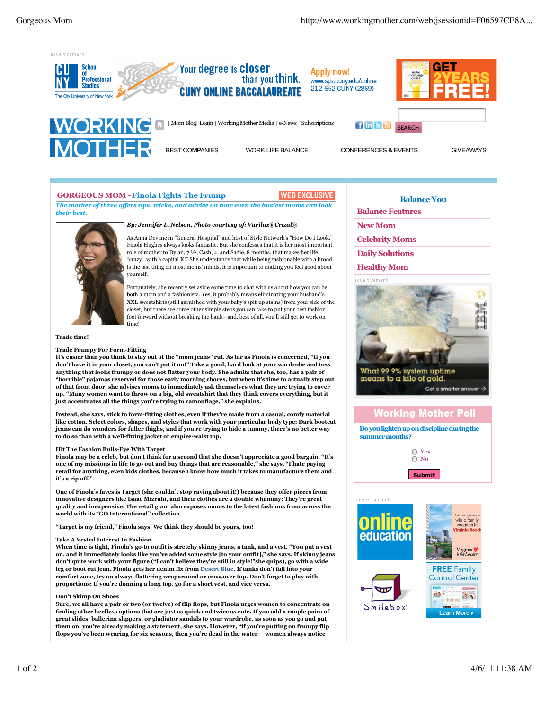

### **GORGEOUS MOM - Finola Fights The Frump**

# WEB EXCLUSIVE

*The mother of three offers tips, tricks, and advice on how even the busiest moms can look their best.*



*By: Jennifer L. Nelson, Photo courtesy of: Varilux®Crizal®*

As Anna Devane in "General Hospital" and host of Style Network's "How Do I Look," Finola Hughes always looks fantastic. But she confesses that it is her most important role of mother to Dylan,  $7 \frac{1}{2}$  Cash, 4, and Sadie, 8 months, that makes her life "crazy…with a capital K!" She understands that while being fashionable with a brood is the last thing on most moms' minds, it is important to making you feel good about yourself.

Fortunately, she recently set aside some time to chat with us about how you can be both a mom and a fashionista. Yes, it probably means eliminating your husband's XXL sweatshirts (still garnished with your baby's spit-up stains) from your side of the closet, but there are some other simple steps you can take to put your best fashion foot forward without breaking the bank—and, best of all, you'll still get to work on time!

**Trade time!**

### **Trade Frumpy For Form-Fitting**

**It's easier than you think to stay out of the "mom jeans" rut. As far as Finola is concerned, "If you don't have it in your closet, you can't put it on!" Take a good, hard look at your wardrobe and toss anything that looks frumpy or does not flatter your body. She admits that she, too, has a pair of "horrible" pajamas reserved for those early morning chores, but when it's time to actually step out of that front door, she advises moms to immediately ask themselves what they are trying to cover up. "Many women want to throw on a big, old sweatshirt that they think covers everything, but it just accentuates all the things you're trying to camouflage," she explains.** 

**Instead, she says, stick to form-fitting clothes, even if they're made from a casual, comfy material like cotton. Select colors, shapes, and styles that work with your particular body type: Dark bootcut jeans can do wonders for fuller thighs, and if you're trying to hide a tummy, there's no better way to do so than with a well-fitting jacket or empire-waist top.**

#### **Hit The Fashion Bulls-Eye With Target**

**Finola may be a celeb, but don't think for a second that she doesn't appreciate a good bargain. "It's one of my missions in life to go out and buy things that are reasonable," she says. "I hate paying retail for anything, even kids clothes, because I know how much it takes to manufacture them and it's a rip off."** 

**One of Finola's faves is Target (she couldn't stop raving about it!) because they offer pieces from innovative designers like Isaac Mizrahi, and their clothes are a double whammy: They're great quality and inexpensive. The retail giant also exposes moms to the latest fashions from across the world with its "GO International" collection.**

**"Target is my friend," Finola says. We think they should be yours, too!**

### **Take A Vested Interest In Fashion**

**When time is tight, Finola's go-to outfit is stretchy skinny jeans, a tank, and a vest. "You put a vest on, and it immediately looks like you've added some style [to your outfit]," she says. If skinny jeans don't quite work with your figure ("I can't believe they're still in style!"she quips), go with a wide leg or boot cut jean. Finola gets her denim fix from Desert Blue. If tanks don't fall into your comfort zone, try an always flattering wraparound or crossover top. Don't forget to play with proportions: If you're donning a long top, go for a short vest, and vice versa.**

#### **Don't Skimp On Shoes**

**Sure, we all have a pair or two (or twelve) of flip flops, but Finola urges women to concentrate on finding other heelless options that are just as quick and twice as cute. If you add a couple pairs of great slides, ballerina slippers, or gladiator sandals to your wardrobe, as soon as you go and put them on, you're already making a statement, she says. However, "if you're putting on frumpy flip flops you've been wearing for six seasons, then you're dead in the water—women always notice**

## **Balance You**

**Balance Features**

**New Mom**

**Celebrity Moms**

**Daily Solutions**

**Healthy Mom**



What 99.9% system uptime means to a kilo of gold. Get a smarter answer



**Do you lighten up on discipline during the summer months?**

> **Yes No**

> > **Submit**